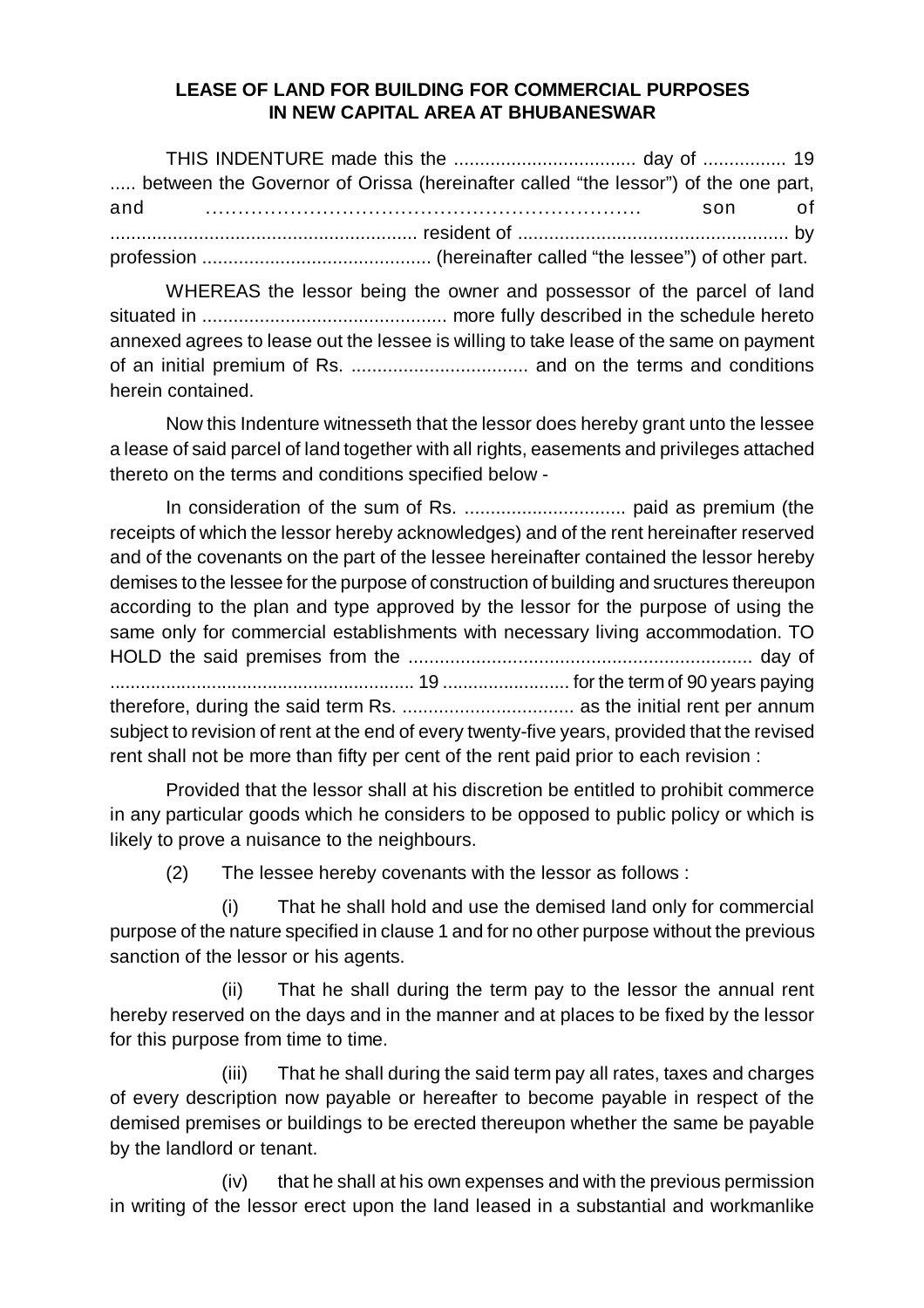## **LEASE OF LAND FOR BUILDING FOR COMMERCIAL PURPOSES IN NEW CAPITAL AREA AT BHUBANESWAR**

THIS INDENTURE made this the ................................... day of ................ 19 ..... between the Governor of Orissa (hereinafter called "the lessor") of the one part, and ................................................................... son of ........................................................... resident of .................................................... by profession ............................................ (hereinafter called "the lessee") of other part.

WHEREAS the lessor being the owner and possessor of the parcel of land situated in ............................................... more fully described in the schedule hereto annexed agrees to lease out the lessee is willing to take lease of the same on payment of an initial premium of Rs. .................................. and on the terms and conditions herein contained.

Now this Indenture witnesseth that the lessor does hereby grant unto the lessee a lease of said parcel of land together with all rights, easements and privileges attached thereto on the terms and conditions specified below -

In consideration of the sum of Rs. ............................... paid as premium (the receipts of which the lessor hereby acknowledges) and of the rent hereinafter reserved and of the covenants on the part of the lessee hereinafter contained the lessor hereby demises to the lessee for the purpose of construction of building and sructures thereupon according to the plan and type approved by the lessor for the purpose of using the same only for commercial establishments with necessary living accommodation. TO HOLD the said premises from the .................................................................. day of ............................................................ 19 ......................... for the term of 90 years paying therefore, during the said term Rs. ................................. as the initial rent per annum subject to revision of rent at the end of every twenty-five years, provided that the revised rent shall not be more than fifty per cent of the rent paid prior to each revision :

Provided that the lessor shall at his discretion be entitled to prohibit commerce in any particular goods which he considers to be opposed to public policy or which is likely to prove a nuisance to the neighbours.

(2) The lessee hereby covenants with the lessor as follows :

(i) That he shall hold and use the demised land only for commercial purpose of the nature specified in clause 1 and for no other purpose without the previous sanction of the lessor or his agents.

(ii) That he shall during the term pay to the lessor the annual rent hereby reserved on the days and in the manner and at places to be fixed by the lessor for this purpose from time to time.

(iii) That he shall during the said term pay all rates, taxes and charges of every description now payable or hereafter to become payable in respect of the demised premises or buildings to be erected thereupon whether the same be payable by the landlord or tenant.

(iv) that he shall at his own expenses and with the previous permission in writing of the lessor erect upon the land leased in a substantial and workmanlike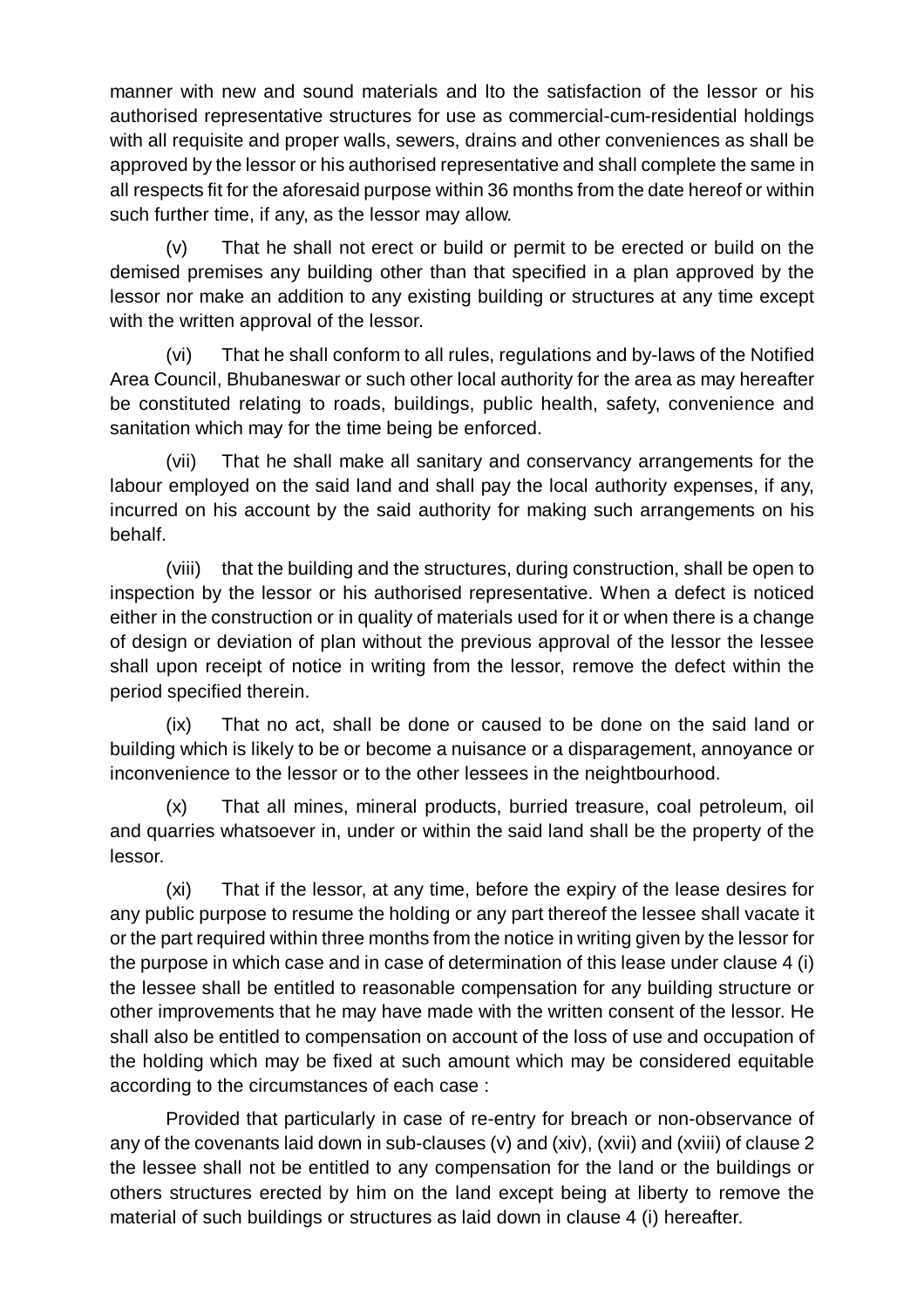manner with new and sound materials and lto the satisfaction of the lessor or his authorised representative structures for use as commercial-cum-residential holdings with all requisite and proper walls, sewers, drains and other conveniences as shall be approved by the lessor or his authorised representative and shall complete the same in all respects fit for the aforesaid purpose within 36 months from the date hereof or within such further time, if any, as the lessor may allow.

(v) That he shall not erect or build or permit to be erected or build on the demised premises any building other than that specified in a plan approved by the lessor nor make an addition to any existing building or structures at any time except with the written approval of the lessor.

(vi) That he shall conform to all rules, regulations and by-laws of the Notified Area Council, Bhubaneswar or such other local authority for the area as may hereafter be constituted relating to roads, buildings, public health, safety, convenience and sanitation which may for the time being be enforced.

(vii) That he shall make all sanitary and conservancy arrangements for the labour employed on the said land and shall pay the local authority expenses, if any, incurred on his account by the said authority for making such arrangements on his behalf.

(viii) that the building and the structures, during construction, shall be open to inspection by the lessor or his authorised representative. When a defect is noticed either in the construction or in quality of materials used for it or when there is a change of design or deviation of plan without the previous approval of the lessor the lessee shall upon receipt of notice in writing from the lessor, remove the defect within the period specified therein.

(ix) That no act, shall be done or caused to be done on the said land or building which is likely to be or become a nuisance or a disparagement, annoyance or inconvenience to the lessor or to the other lessees in the neightbourhood.

(x) That all mines, mineral products, burried treasure, coal petroleum, oil and quarries whatsoever in, under or within the said land shall be the property of the lessor.

(xi) That if the lessor, at any time, before the expiry of the lease desires for any public purpose to resume the holding or any part thereof the lessee shall vacate it or the part required within three months from the notice in writing given by the lessor for the purpose in which case and in case of determination of this lease under clause 4 (i) the lessee shall be entitled to reasonable compensation for any building structure or other improvements that he may have made with the written consent of the lessor. He shall also be entitled to compensation on account of the loss of use and occupation of the holding which may be fixed at such amount which may be considered equitable according to the circumstances of each case :

Provided that particularly in case of re-entry for breach or non-observance of any of the covenants laid down in sub-clauses (v) and (xiv), (xvii) and (xviii) of clause 2 the lessee shall not be entitled to any compensation for the land or the buildings or others structures erected by him on the land except being at liberty to remove the material of such buildings or structures as laid down in clause 4 (i) hereafter.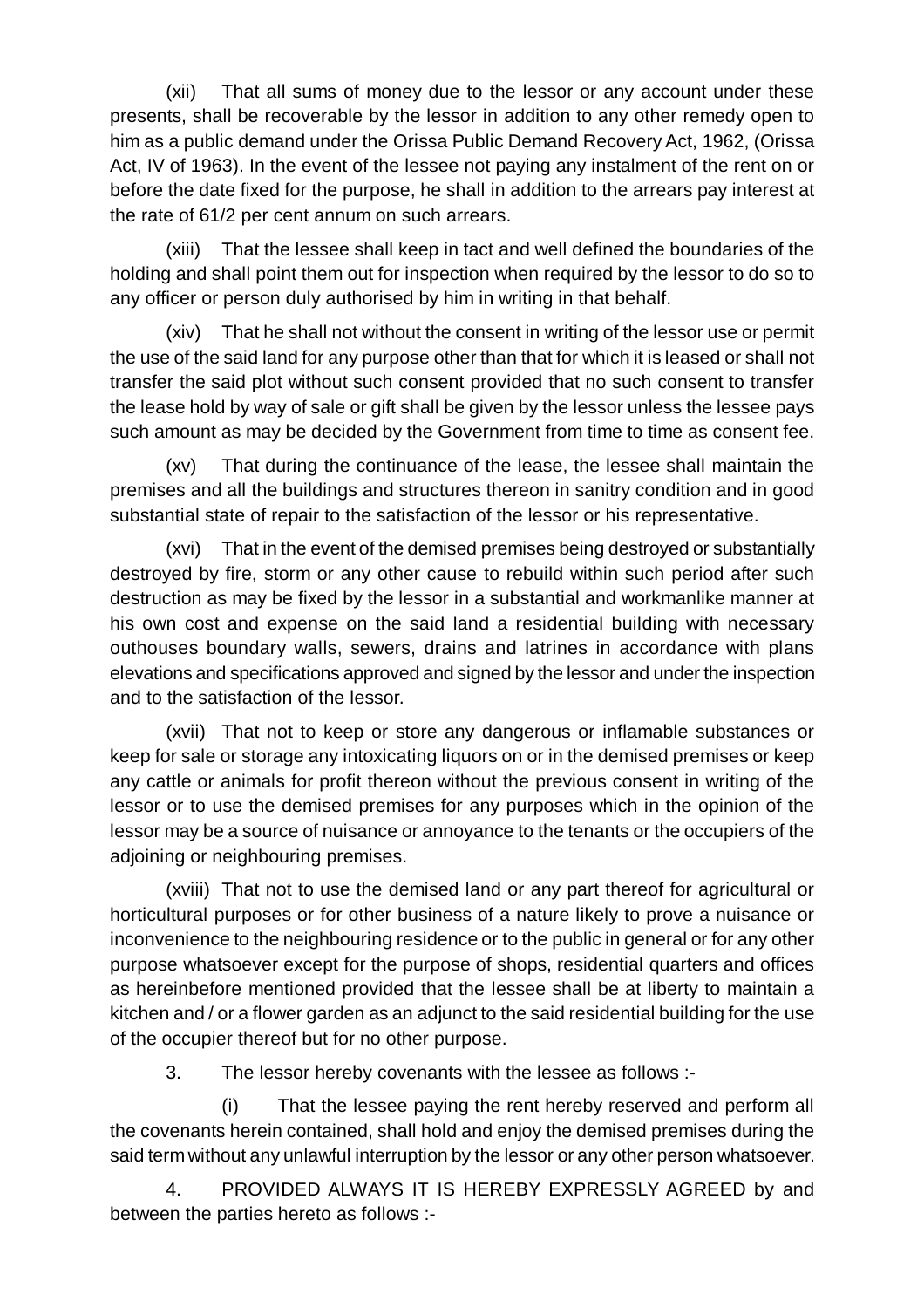(xii) That all sums of money due to the lessor or any account under these presents, shall be recoverable by the lessor in addition to any other remedy open to him as a public demand under the Orissa Public Demand Recovery Act, 1962, (Orissa Act, IV of 1963). In the event of the lessee not paying any instalment of the rent on or before the date fixed for the purpose, he shall in addition to the arrears pay interest at the rate of 61/2 per cent annum on such arrears.

(xiii) That the lessee shall keep in tact and well defined the boundaries of the holding and shall point them out for inspection when required by the lessor to do so to any officer or person duly authorised by him in writing in that behalf.

(xiv) That he shall not without the consent in writing of the lessor use or permit the use of the said land for any purpose other than that for which it is leased or shall not transfer the said plot without such consent provided that no such consent to transfer the lease hold by way of sale or gift shall be given by the lessor unless the lessee pays such amount as may be decided by the Government from time to time as consent fee.

(xv) That during the continuance of the lease, the lessee shall maintain the premises and all the buildings and structures thereon in sanitry condition and in good substantial state of repair to the satisfaction of the lessor or his representative.

(xvi) That in the event of the demised premises being destroyed or substantially destroyed by fire, storm or any other cause to rebuild within such period after such destruction as may be fixed by the lessor in a substantial and workmanlike manner at his own cost and expense on the said land a residential building with necessary outhouses boundary walls, sewers, drains and latrines in accordance with plans elevations and specifications approved and signed by the lessor and under the inspection and to the satisfaction of the lessor.

(xvii) That not to keep or store any dangerous or inflamable substances or keep for sale or storage any intoxicating liquors on or in the demised premises or keep any cattle or animals for profit thereon without the previous consent in writing of the lessor or to use the demised premises for any purposes which in the opinion of the lessor may be a source of nuisance or annoyance to the tenants or the occupiers of the adjoining or neighbouring premises.

(xviii) That not to use the demised land or any part thereof for agricultural or horticultural purposes or for other business of a nature likely to prove a nuisance or inconvenience to the neighbouring residence or to the public in general or for any other purpose whatsoever except for the purpose of shops, residential quarters and offices as hereinbefore mentioned provided that the lessee shall be at liberty to maintain a kitchen and / or a flower garden as an adjunct to the said residential building for the use of the occupier thereof but for no other purpose.

3. The lessor hereby covenants with the lessee as follows :-

(i) That the lessee paying the rent hereby reserved and perform all the covenants herein contained, shall hold and enjoy the demised premises during the said term without any unlawful interruption by the lessor or any other person whatsoever.

4. PROVIDED ALWAYS IT IS HEREBY EXPRESSLY AGREED by and between the parties hereto as follows :-